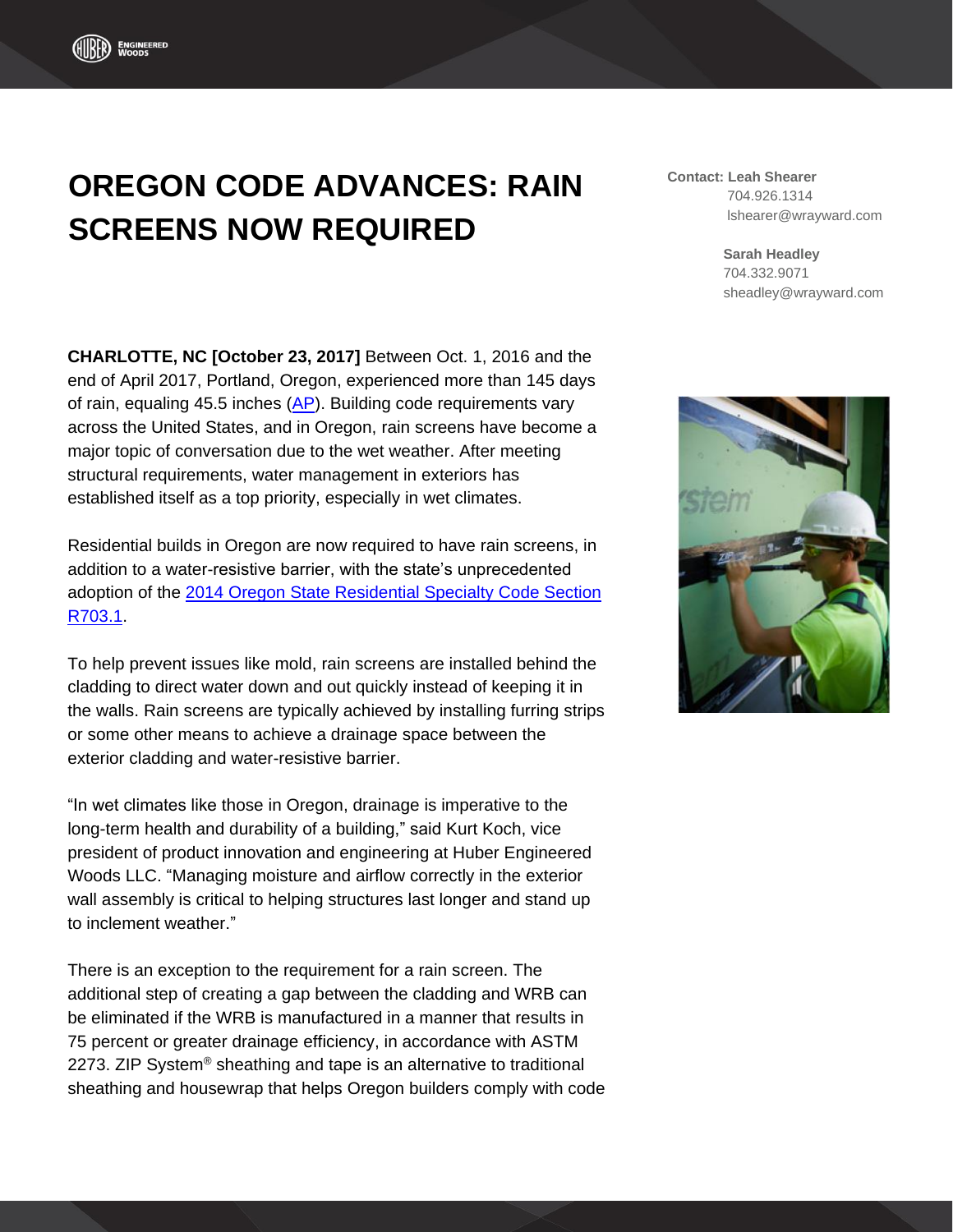## **OREGON CODE ADVANCES: RAIN SCREENS NOW REQUIRED**

**CHARLOTTE, NC [October 23, 2017]** Between Oct. 1, 2016 and the end of April 2017, Portland, Oregon, experienced more than 145 days of rain, equaling 45.5 inches [\(AP\)](https://www.yahoo.com/news/soggy-seattle-lives-name-breaks-another-rain-record-160321910.html). Building code requirements vary across the United States, and in Oregon, rain screens have become a major topic of conversation due to the wet weather. After meeting structural requirements, water management in exteriors has established itself as a top priority, especially in wet climates.

Residential builds in Oregon are now required to have rain screens, in addition to a water-resistive barrier, with the state's unprecedented adoption of the 2014 [Oregon State Residential Specialty](http://ecodes.biz/ecodes_support/free_resources/Oregon/11_Residential/PDFs/Chapter%207_Wall%20Covering.pdf) Code Section [R703.1.](http://ecodes.biz/ecodes_support/free_resources/Oregon/11_Residential/PDFs/Chapter%207_Wall%20Covering.pdf)

To help prevent issues like mold, rain screens are installed behind the cladding to direct water down and out quickly instead of keeping it in the walls. Rain screens are typically achieved by installing furring strips or some other means to achieve a drainage space between the exterior cladding and water-resistive barrier.

"In wet climates like those in Oregon, drainage is imperative to the long-term health and durability of a building," said Kurt Koch, vice president of product innovation and engineering at Huber Engineered Woods LLC. "Managing moisture and airflow correctly in the exterior wall assembly is critical to helping structures last longer and stand up to inclement weather."

There is an exception to the requirement for a rain screen. The additional step of creating a gap between the cladding and WRB can be eliminated if the WRB is manufactured in a manner that results in 75 percent or greater drainage efficiency, in accordance with ASTM 2273. ZIP System® sheathing and tape is an alternative to traditional sheathing and housewrap that helps Oregon builders comply with code **Contact: Leah Shearer** 704.926.1314 lshearer@wrayward.com

> **Sarah Headley** 704.332.9071 sheadley@wrayward.com